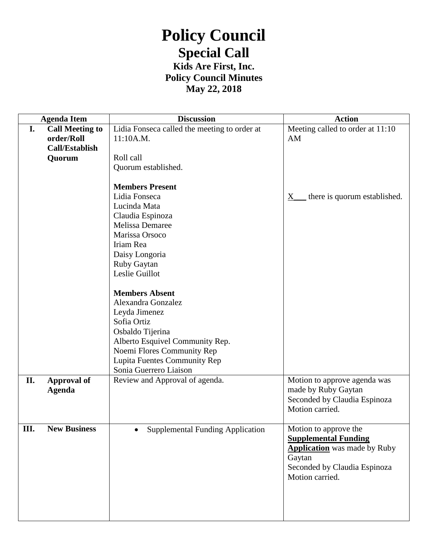## **Policy Council Special Call Kids Are First, Inc.**

**Policy Council Minutes**

**May 22, 2018**

|    | <b>Agenda Item</b>     | <b>Discussion</b>                            | <b>Action</b>                           |
|----|------------------------|----------------------------------------------|-----------------------------------------|
| I. | <b>Call Meeting to</b> | Lidia Fonseca called the meeting to order at | Meeting called to order at 11:10        |
|    | order/Roll             | 11:10A.M.                                    | AM                                      |
|    | <b>Call/Establish</b>  |                                              |                                         |
|    | Quorum                 | Roll call                                    |                                         |
|    |                        | Quorum established.                          |                                         |
|    |                        |                                              |                                         |
|    |                        | <b>Members Present</b>                       |                                         |
|    |                        | Lidia Fonseca                                | there is quorum established.<br>$X_{-}$ |
|    |                        | Lucinda Mata                                 |                                         |
|    |                        | Claudia Espinoza                             |                                         |
|    |                        | Melissa Demaree                              |                                         |
|    |                        | Marissa Orsoco                               |                                         |
|    |                        | Iriam Rea                                    |                                         |
|    |                        | Daisy Longoria                               |                                         |
|    |                        | Ruby Gaytan                                  |                                         |
|    |                        | Leslie Guillot                               |                                         |
|    |                        |                                              |                                         |
|    |                        | <b>Members Absent</b>                        |                                         |
|    |                        | Alexandra Gonzalez                           |                                         |
|    |                        | Leyda Jimenez                                |                                         |
|    |                        | Sofia Ortiz                                  |                                         |
|    |                        | Osbaldo Tijerina                             |                                         |
|    |                        | Alberto Esquivel Community Rep.              |                                         |
|    |                        | Noemi Flores Community Rep                   |                                         |
|    |                        | Lupita Fuentes Community Rep                 |                                         |
|    |                        | Sonia Guerrero Liaison                       |                                         |
| П. | <b>Approval of</b>     | Review and Approval of agenda.               | Motion to approve agenda was            |
|    | <b>Agenda</b>          |                                              | made by Ruby Gaytan                     |
|    |                        |                                              | Seconded by Claudia Espinoza            |
|    |                        |                                              | Motion carried.                         |
|    |                        |                                              |                                         |
| Ш. | <b>New Business</b>    | <b>Supplemental Funding Application</b>      | Motion to approve the                   |
|    |                        |                                              | <b>Supplemental Funding</b>             |
|    |                        |                                              | <b>Application</b> was made by Ruby     |
|    |                        |                                              | Gaytan                                  |
|    |                        |                                              | Seconded by Claudia Espinoza            |
|    |                        |                                              | Motion carried.                         |
|    |                        |                                              |                                         |
|    |                        |                                              |                                         |
|    |                        |                                              |                                         |